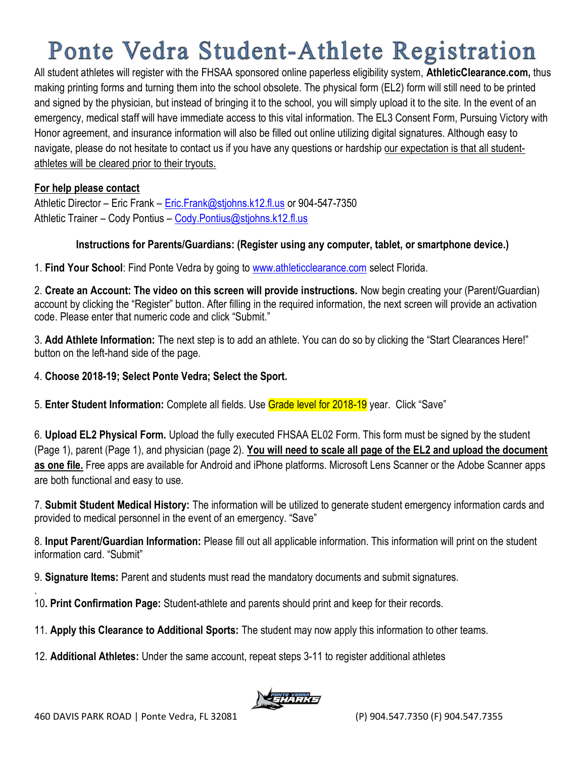# Ponte Vedra Student-Athlete Registration

All student athletes will register with the FHSAA sponsored online paperless eligibility system, AthleticClearance.com, thus making printing forms and turning them into the school obsolete. The physical form (EL2) form will still need to be printed and signed by the physician, but instead of bringing it to the school, you will simply upload it to the site. In the event of an emergency, medical staff will have immediate access to this vital information. The EL3 Consent Form, Pursuing Victory with Honor agreement, and insurance information will also be filled out online utilizing digital signatures. Although easy to navigate, please do not hesitate to contact us if you have any questions or hardship our expectation is that all studentathletes will be cleared prior to their tryouts.

#### For help please contact

Athletic Director – Eric Frank – Eric.Frank@stjohns.k12.fl.us or 904-547-7350 Athletic Trainer - Cody Pontius - Cody.Pontius@stjohns.k12.fl.us

#### Instructions for Parents/Guardians: (Register using any computer, tablet, or smartphone device.)

1. Find Your School: Find Ponte Vedra by going to www.athleticclearance.com select Florida.

2. Create an Account: The video on this screen will provide instructions. Now begin creating your (Parent/Guardian) account by clicking the "Register" button. After filling in the required information, the next screen will provide an activation code. Please enter that numeric code and click "Submit."

3. Add Athlete Information: The next step is to add an athlete. You can do so by clicking the "Start Clearances Here!" button on the left-hand side of the page.

4. Choose 2018-19; Select Ponte Vedra; Select the Sport.

5. Enter Student Information: Complete all fields. Use Grade level for 2018-19 year. Click "Save"

6. Upload EL2 Physical Form. Upload the fully executed FHSAA EL02 Form. This form must be signed by the student (Page 1), parent (Page 1), and physician (page 2). You will need to scale all page of the EL2 and upload the document as one file. Free apps are available for Android and iPhone platforms. Microsoft Lens Scanner or the Adobe Scanner apps are both functional and easy to use.

7. Submit Student Medical History: The information will be utilized to generate student emergency information cards and provided to medical personnel in the event of an emergency. "Save"

8. Input Parent/Guardian Information: Please fill out all applicable information. This information will print on the student information card. "Submit"

9. Signature Items: Parent and students must read the mandatory documents and submit signatures.

10. Print Confirmation Page: Student-athlete and parents should print and keep for their records.

11. Apply this Clearance to Additional Sports: The student may now apply this information to other teams.

12. Additional Athletes: Under the same account, repeat steps 3-11 to register additional athletes



.